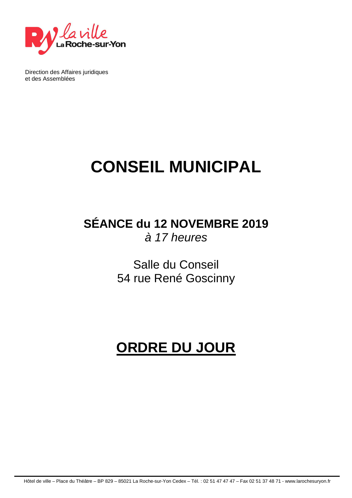

Direction des Affaires juridiques et des Assemblées

# **CONSEIL MUNICIPAL**

### **SÉANCE du 12 NOVEMBRE 2019**  à 17 heures

Salle du Conseil 54 rue René Goscinny

## **ORDRE DU JOUR**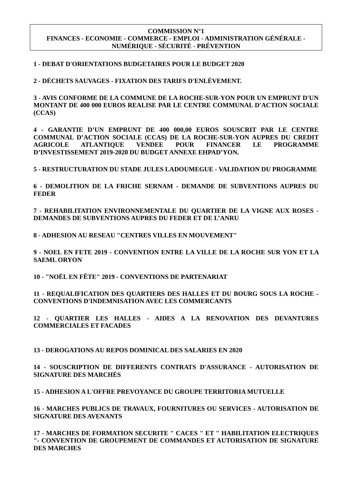#### **COMMISSION N°1 FINANCES - ECONOMIE - COMMERCE - EMPLOI - ADMINISTRATION GÉNÉRALE - NUMÉRIQUE - SÉCURITÉ - PRÉVENTION**

#### **1 - DEBAT D'ORIENTATIONS BUDGETAIRES POUR LE BUDGET 2020**

**2 - DÉCHETS SAUVAGES - FIXATION DES TARIFS D'ENLÈVEMENT.**

**3 - AVIS CONFORME DE LA COMMUNE DE LA ROCHE-SUR-YON POUR UN EMPRUNT D'UN MONTANT DE 400 000 EUROS REALISE PAR LE CENTRE COMMUNAL D'ACTION SOCIALE (CCAS)** 

**4 - GARANTIE D'UN EMPRUNT DE 400 000,00 EUROS SOUSCRIT PAR LE CENTRE COMMUNAL D'ACTION SOCIALE (CCAS) DE LA ROCHE-SUR-YON AUPRES DU CREDIT AGRICOLE ATLANTIQUE VENDEE POUR FINANCER LE PROGRAMME D'INVESTISSEMENT 2019-2020 DU BUDGET ANNEXE EHPAD'YON.**

**5 - RESTRUCTURATION DU STADE JULES LADOUMEGUE - VALIDATION DU PROGRAMME**

**6 - DEMOLITION DE LA FRICHE SERNAM - DEMANDE DE SUBVENTIONS AUPRES DU FEDER** 

**7 - REHABILITATION ENVIRONNEMENTALE DU QUARTIER DE LA VIGNE AUX ROSES - DEMANDES DE SUBVENTIONS AUPRES DU FEDER ET DE L'ANRU**

**8 - ADHESION AU RESEAU "CENTRES VILLES EN MOUVEMENT"** 

**9 - NOEL EN FETE 2019 - CONVENTION ENTRE LA VILLE DE LA ROCHE SUR YON ET LA SAEML ORYON** 

**10 - "NOËL EN FÊTE" 2019 - CONVENTIONS DE PARTENARIAT** 

**11 - REQUALIFICATION DES QUARTIERS DES HALLES ET DU BOURG SOUS LA ROCHE - CONVENTIONS D'INDEMNISATION AVEC LES COMMERCANTS**

**12 - QUARTIER LES HALLES - AIDES A LA RENOVATION DES DEVANTURES COMMERCIALES ET FACADES** 

**13 - DEROGATIONS AU REPOS DOMINICAL DES SALARIES EN 2020**

**14 - SOUSCRIPTION DE DIFFERENTS CONTRATS D'ASSURANCE - AUTORISATION DE SIGNATURE DES MARCHÉS**

**15 - ADHESION A L'OFFRE PREVOYANCE DU GROUPE TERRITORIA MUTUELLE**

**16 - MARCHES PUBLICS DE TRAVAUX, FOURNITURES OU SERVICES - AUTORISATION DE SIGNATURE DES AVENANTS**

**17 - MARCHES DE FORMATION SECURITE " CACES " ET " HABILITATION ELECTRIQUES "- CONVENTION DE GROUPEMENT DE COMMANDES ET AUTORISATION DE SIGNATURE DES MARCHES**